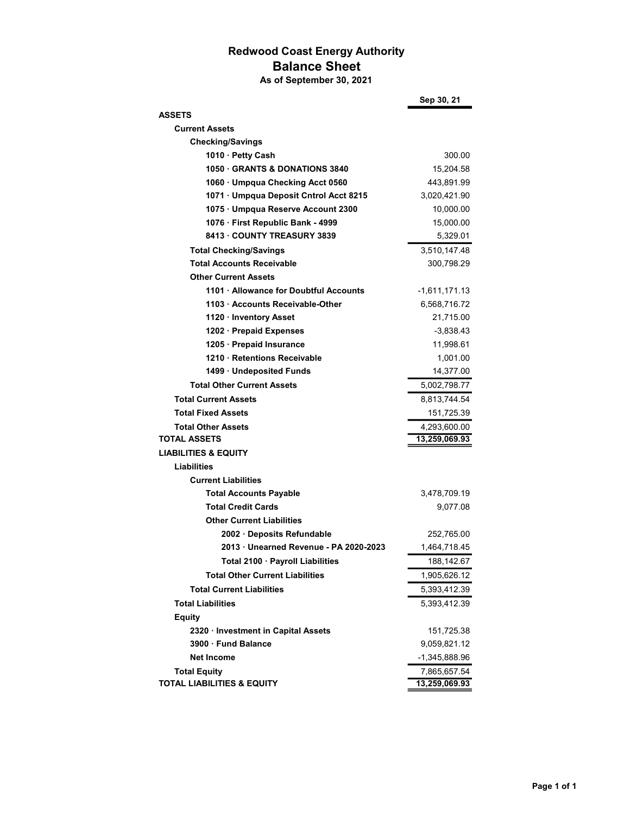## Redwood Coast Energy Authority Balance Sheet

As of September 30, 2021

|                                        | Sep 30, 21    |
|----------------------------------------|---------------|
| <b>ASSETS</b>                          |               |
| <b>Current Assets</b>                  |               |
| <b>Checking/Savings</b>                |               |
| 1010 · Petty Cash                      | 300.00        |
| 1050 GRANTS & DONATIONS 3840           | 15,204.58     |
| 1060 · Umpqua Checking Acct 0560       | 443,891.99    |
| 1071 · Umpqua Deposit Cntrol Acct 8215 | 3,020,421.90  |
| 1075 · Umpqua Reserve Account 2300     | 10,000.00     |
| 1076 · First Republic Bank - 4999      | 15,000.00     |
| 8413 · COUNTY TREASURY 3839            | 5,329.01      |
| <b>Total Checking/Savings</b>          | 3,510,147.48  |
| <b>Total Accounts Receivable</b>       | 300,798.29    |
| <b>Other Current Assets</b>            |               |
| 1101 · Allowance for Doubtful Accounts | -1,611,171.13 |
| 1103 · Accounts Receivable-Other       | 6,568,716.72  |
| 1120 · Inventory Asset                 | 21,715.00     |
| 1202 · Prepaid Expenses                | $-3,838.43$   |
| 1205 · Prepaid Insurance               | 11,998.61     |
| 1210 · Retentions Receivable           | 1,001.00      |
| 1499 · Undeposited Funds               | 14,377.00     |
| <b>Total Other Current Assets</b>      | 5,002,798.77  |
| <b>Total Current Assets</b>            | 8,813,744.54  |
| <b>Total Fixed Assets</b>              | 151,725.39    |
| <b>Total Other Assets</b>              | 4,293,600.00  |
| <b>TOTAL ASSETS</b>                    | 13,259,069.93 |
| <b>LIABILITIES &amp; EQUITY</b>        |               |
| <b>Liabilities</b>                     |               |
| <b>Current Liabilities</b>             |               |
| <b>Total Accounts Payable</b>          | 3,478,709.19  |
| <b>Total Credit Cards</b>              | 9,077.08      |
| <b>Other Current Liabilities</b>       |               |
| 2002 · Deposits Refundable             | 252,765.00    |
| 2013 · Unearned Revenue - PA 2020-2023 | 1,464,718.45  |
| Total 2100 · Payroll Liabilities       | 188,142.67    |
| <b>Total Other Current Liabilities</b> | 1,905,626.12  |
| <b>Total Current Liabilities</b>       | 5,393,412.39  |
| <b>Total Liabilities</b>               | 5,393,412.39  |
| <b>Equity</b>                          |               |
| 2320 · Investment in Capital Assets    | 151,725.38    |
| 3900 · Fund Balance                    | 9,059,821.12  |
| <b>Net Income</b>                      | -1,345,888.96 |
| <b>Total Equity</b>                    | 7,865,657.54  |
| <b>TOTAL LIABILITIES &amp; EQUITY</b>  | 13,259,069.93 |